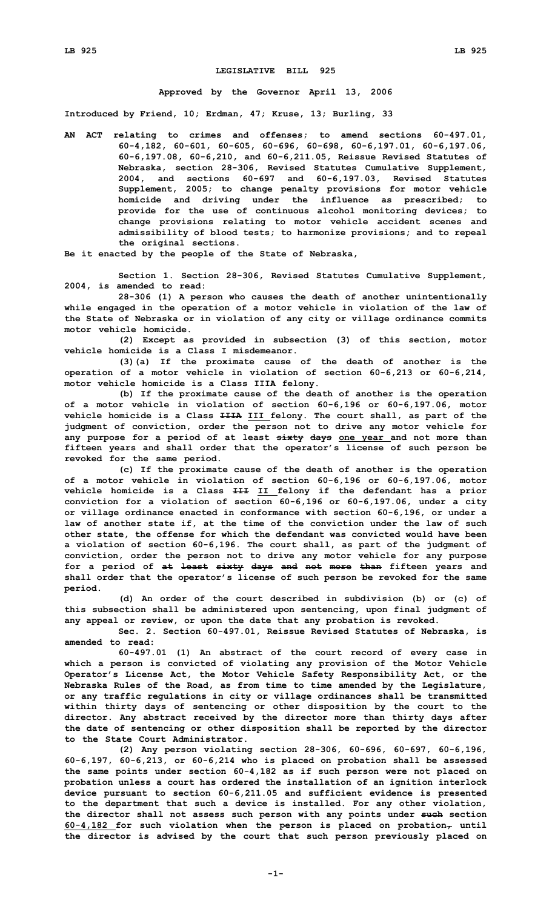## **LEGISLATIVE BILL 925**

## **Approved by the Governor April 13, 2006**

**Introduced by Friend, 10; Erdman, 47; Kruse, 13; Burling, 33**

**AN ACT relating to crimes and offenses; to amend sections 60-497.01, 60-4,182, 60-601, 60-605, 60-696, 60-698, 60-6,197.01, 60-6,197.06, 60-6,197.08, 60-6,210, and 60-6,211.05, Reissue Revised Statutes of Nebraska, section 28-306, Revised Statutes Cumulative Supplement, 2004, and sections 60-697 and 60-6,197.03, Revised Statutes Supplement, 2005; to change penalty provisions for motor vehicle homicide and driving under the influence as prescribed; to provide for the use of continuous alcohol monitoring devices; to change provisions relating to motor vehicle accident scenes and admissibility of blood tests; to harmonize provisions; and to repeal the original sections.**

**Be it enacted by the people of the State of Nebraska,**

**Section 1. Section 28-306, Revised Statutes Cumulative Supplement, 2004, is amended to read:**

**28-306 (1) <sup>A</sup> person who causes the death of another unintentionally while engaged in the operation of <sup>a</sup> motor vehicle in violation of the law of the State of Nebraska or in violation of any city or village ordinance commits motor vehicle homicide.**

**(2) Except as provided in subsection (3) of this section, motor vehicle homicide is a Class I misdemeanor.**

**(3)(a) If the proximate cause of the death of another is the operation of <sup>a</sup> motor vehicle in violation of section 60-6,213 or 60-6,214, motor vehicle homicide is <sup>a</sup> Class IIIA felony.**

**(b) If the proximate cause of the death of another is the operation of <sup>a</sup> motor vehicle in violation of section 60-6,196 or 60-6,197.06, motor vehicle homicide is <sup>a</sup> Class IIIA III felony. The court shall, as part of the judgment of conviction, order the person not to drive any motor vehicle for any purpose for <sup>a</sup> period of at least sixty days one year and not more than fifteen years and shall order that the operator's license of such person be revoked for the same period.**

**(c) If the proximate cause of the death of another is the operation of <sup>a</sup> motor vehicle in violation of section 60-6,196 or 60-6,197.06, motor vehicle homicide is <sup>a</sup> Class III II felony if the defendant has <sup>a</sup> prior conviction for <sup>a</sup> violation of section 60-6,196 or 60-6,197.06, under <sup>a</sup> city or village ordinance enacted in conformance with section 60-6,196, or under <sup>a</sup> law of another state if, at the time of the conviction under the law of such other state, the offense for which the defendant was convicted would have been <sup>a</sup> violation of section 60-6,196. The court shall, as part of the judgment of conviction, order the person not to drive any motor vehicle for any purpose for <sup>a</sup> period of at least sixty days and not more than fifteen years and shall order that the operator's license of such person be revoked for the same period.**

**(d) An order of the court described in subdivision (b) or (c) of this subsection shall be administered upon sentencing, upon final judgment of any appeal or review, or upon the date that any probation is revoked.**

**Sec. 2. Section 60-497.01, Reissue Revised Statutes of Nebraska, is amended to read:**

**60-497.01 (1) An abstract of the court record of every case in which <sup>a</sup> person is convicted of violating any provision of the Motor Vehicle Operator's License Act, the Motor Vehicle Safety Responsibility Act, or the Nebraska Rules of the Road, as from time to time amended by the Legislature, or any traffic regulations in city or village ordinances shall be transmitted within thirty days of sentencing or other disposition by the court to the director. Any abstract received by the director more than thirty days after the date of sentencing or other disposition shall be reported by the director to the State Court Administrator.**

**(2) Any person violating section 28-306, 60-696, 60-697, 60-6,196, 60-6,197, 60-6,213, or 60-6,214 who is placed on probation shall be assessed the same points under section 60-4,182 as if such person were not placed on probation unless <sup>a</sup> court has ordered the installation of an ignition interlock device pursuant to section 60-6,211.05 and sufficient evidence is presented to the department that such <sup>a</sup> device is installed. For any other violation, the director shall not assess such person with any points under such section 60-4,182 for such violation when the person is placed on probation, until the director is advised by the court that such person previously placed on**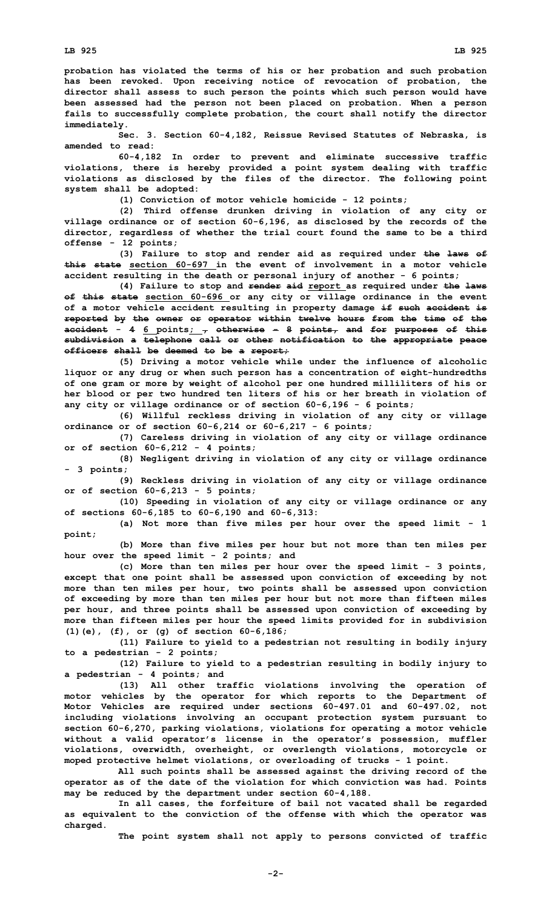**probation has violated the terms of his or her probation and such probation has been revoked. Upon receiving notice of revocation of probation, the director shall assess to such person the points which such person would have been assessed had the person not been placed on probation. When <sup>a</sup> person fails to successfully complete probation, the court shall notify the director immediately.**

**Sec. 3. Section 60-4,182, Reissue Revised Statutes of Nebraska, is amended to read:**

**60-4,182 In order to prevent and eliminate successive traffic violations, there is hereby provided <sup>a</sup> point system dealing with traffic violations as disclosed by the files of the director. The following point system shall be adopted:**

**(1) Conviction of motor vehicle homicide - 12 points;**

**(2) Third offense drunken driving in violation of any city or village ordinance or of section 60-6,196, as disclosed by the records of the director, regardless of whether the trial court found the same to be <sup>a</sup> third offense - 12 points;**

**(3) Failure to stop and render aid as required under the laws of this state section 60-697 in the event of involvement in a motor vehicle accident resulting in the death or personal injury of another - 6 points;**

**(4) Failure to stop and render aid report as required under the laws of this state section 60-696 or any city or village ordinance in the event of <sup>a</sup> motor vehicle accident resulting in property damage if such accident is reported by the owner or operator within twelve hours from the time of the accident** -  $4 \underline{6}$  points;  $\frac{1}{7}$  otherwise -  $8$  points, and for purposes of this **subdivision <sup>a</sup> telephone call or other notification to the appropriate peace officers shall be deemed to be <sup>a</sup> report;**

**(5) Driving <sup>a</sup> motor vehicle while under the influence of alcoholic liquor or any drug or when such person has <sup>a</sup> concentration of eight-hundredths of one gram or more by weight of alcohol per one hundred milliliters of his or her blood or per two hundred ten liters of his or her breath in violation of any city or village ordinance or of section 60-6,196 - 6 points;**

**(6) Willful reckless driving in violation of any city or village ordinance or of section 60-6,214 or 60-6,217 - 6 points;**

**(7) Careless driving in violation of any city or village ordinance or of section 60-6,212 - 4 points;**

**(8) Negligent driving in violation of any city or village ordinance - 3 points;**

**(9) Reckless driving in violation of any city or village ordinance or of section 60-6,213 - 5 points;**

**(10) Speeding in violation of any city or village ordinance or any of sections 60-6,185 to 60-6,190 and 60-6,313:**

**(a) Not more than five miles per hour over the speed limit - 1 point;**

**(b) More than five miles per hour but not more than ten miles per hour over the speed limit - 2 points; and**

**(c) More than ten miles per hour over the speed limit - 3 points, except that one point shall be assessed upon conviction of exceeding by not more than ten miles per hour, two points shall be assessed upon conviction of exceeding by more than ten miles per hour but not more than fifteen miles per hour, and three points shall be assessed upon conviction of exceeding by more than fifteen miles per hour the speed limits provided for in subdivision (1)(e), (f), or (g) of section 60-6,186;**

**(11) Failure to yield to <sup>a</sup> pedestrian not resulting in bodily injury to <sup>a</sup> pedestrian - 2 points;**

**(12) Failure to yield to <sup>a</sup> pedestrian resulting in bodily injury to <sup>a</sup> pedestrian - 4 points; and**

**(13) All other traffic violations involving the operation of motor vehicles by the operator for which reports to the Department of Motor Vehicles are required under sections 60-497.01 and 60-497.02, not including violations involving an occupant protection system pursuant to section 60-6,270, parking violations, violations for operating <sup>a</sup> motor vehicle without <sup>a</sup> valid operator's license in the operator's possession, muffler violations, overwidth, overheight, or overlength violations, motorcycle or moped protective helmet violations, or overloading of trucks - 1 point.**

**All such points shall be assessed against the driving record of the operator as of the date of the violation for which conviction was had. Points may be reduced by the department under section 60-4,188.**

**In all cases, the forfeiture of bail not vacated shall be regarded as equivalent to the conviction of the offense with which the operator was charged.**

**The point system shall not apply to persons convicted of traffic**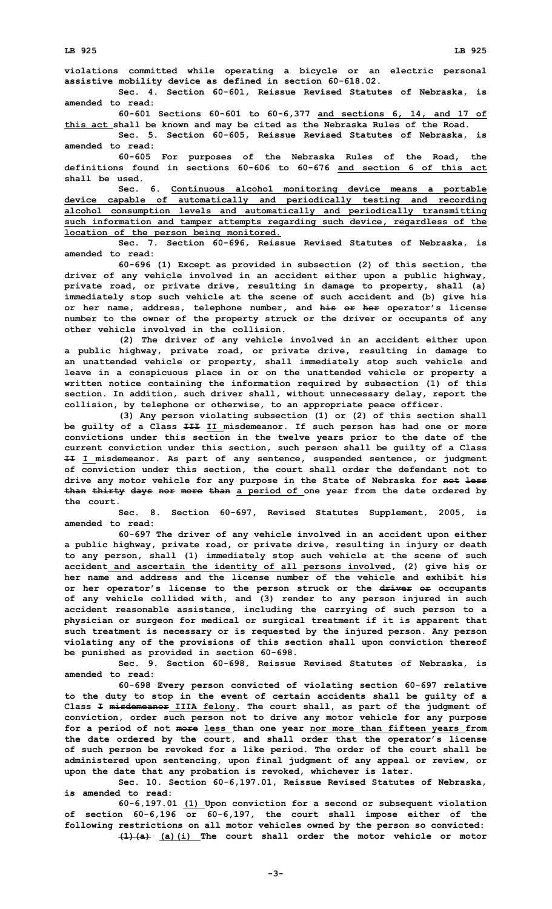**violations committed while operating <sup>a</sup> bicycle or an electric personal assistive mobility device as defined in section 60-618.02.**

**Sec. 4. Section 60-601, Reissue Revised Statutes of Nebraska, is amended to read:**

**60-601 Sections 60-601 to 60-6,377 and sections 6, 14, and 17 of this act shall be known and may be cited as the Nebraska Rules of the Road.**

**Sec. 5. Section 60-605, Reissue Revised Statutes of Nebraska, is amended to read:**

**60-605 For purposes of the Nebraska Rules of the Road, the definitions found in sections 60-606 to 60-676 and section 6 of this act shall be used.**

**Sec. 6. Continuous alcohol monitoring device means <sup>a</sup> portable device capable of automatically and periodically testing and recording alcohol consumption levels and automatically and periodically transmitting such information and tamper attempts regarding such device, regardless of the location of the person being monitored.**

**Sec. 7. Section 60-696, Reissue Revised Statutes of Nebraska, is amended to read:**

**60-696 (1) Except as provided in subsection (2) of this section, the driver of any vehicle involved in an accident either upon <sup>a</sup> public highway, private road, or private drive, resulting in damage to property, shall (a) immediately stop such vehicle at the scene of such accident and (b) give his or her name, address, telephone number, and his or her operator's license number to the owner of the property struck or the driver or occupants of any other vehicle involved in the collision.**

**(2) The driver of any vehicle involved in an accident either upon <sup>a</sup> public highway, private road, or private drive, resulting in damage to an unattended vehicle or property, shall immediately stop such vehicle and leave in <sup>a</sup> conspicuous place in or on the unattended vehicle or property <sup>a</sup> written notice containing the information required by subsection (1) of this section. In addition, such driver shall, without unnecessary delay, report the collision, by telephone or otherwise, to an appropriate peace officer.**

**(3) Any person violating subsection (1) or (2) of this section shall be guilty of <sup>a</sup> Class III II misdemeanor. If such person has had one or more convictions under this section in the twelve years prior to the date of the current conviction under this section, such person shall be guilty of <sup>a</sup> Class II I misdemeanor. As part of any sentence, suspended sentence, or judgment of conviction under this section, the court shall order the defendant not to drive any motor vehicle for any purpose in the State of Nebraska for not less than thirty days nor more than <sup>a</sup> period of one year from the date ordered by the court.**

**Sec. 8. Section 60-697, Revised Statutes Supplement, 2005, is amended to read:**

**60-697 The driver of any vehicle involved in an accident upon either <sup>a</sup> public highway, private road, or private drive, resulting in injury or death to any person, shall (1) immediately stop such vehicle at the scene of such accident and ascertain the identity of all persons involved, (2) give his or her name and address and the license number of the vehicle and exhibit his or her operator's license to the person struck or the driver or occupants of any vehicle collided with, and (3) render to any person injured in such accident reasonable assistance, including the carrying of such person to <sup>a</sup> physician or surgeon for medical or surgical treatment if it is apparent that such treatment is necessary or is requested by the injured person. Any person violating any of the provisions of this section shall upon conviction thereof be punished as provided in section 60-698.**

**Sec. 9. Section 60-698, Reissue Revised Statutes of Nebraska, is amended to read:**

**60-698 Every person convicted of violating section 60-697 relative to the duty to stop in the event of certain accidents shall be guilty of <sup>a</sup> Class I misdemeanor IIIA felony. The court shall, as part of the judgment of conviction, order such person not to drive any motor vehicle for any purpose for <sup>a</sup> period of not more less than one year nor more than fifteen years from the date ordered by the court, and shall order that the operator's license of such person be revoked for <sup>a</sup> like period. The order of the court shall be administered upon sentencing, upon final judgment of any appeal or review, or upon the date that any probation is revoked, whichever is later.**

**Sec. 10. Section 60-6,197.01, Reissue Revised Statutes of Nebraska, is amended to read:**

**60-6,197.01 (1) Upon conviction for <sup>a</sup> second or subsequent violation of section 60-6,196 or 60-6,197, the court shall impose either of the following restrictions on all motor vehicles owned by the person so convicted: (1)(a) (a)(i) The court shall order the motor vehicle or motor**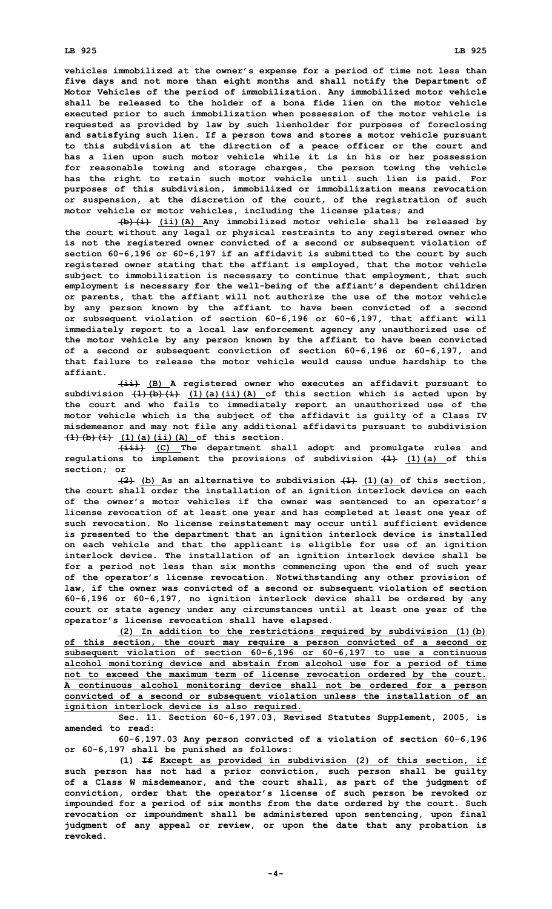**vehicles immobilized at the owner's expense for <sup>a</sup> period of time not less than five days and not more than eight months and shall notify the Department of Motor Vehicles of the period of immobilization. Any immobilized motor vehicle shall be released to the holder of a bona fide lien on the motor vehicle executed prior to such immobilization when possession of the motor vehicle is requested as provided by law by such lienholder for purposes of foreclosing and satisfying such lien. If <sup>a</sup> person tows and stores <sup>a</sup> motor vehicle pursuant to this subdivision at the direction of <sup>a</sup> peace officer or the court and has <sup>a</sup> lien upon such motor vehicle while it is in his or her possession for reasonable towing and storage charges, the person towing the vehicle has the right to retain such motor vehicle until such lien is paid. For purposes of this subdivision, immobilized or immobilization means revocation or suspension, at the discretion of the court, of the registration of such motor vehicle or motor vehicles, including the license plates; and**

**(b)(i) (ii)(A) Any immobilized motor vehicle shall be released by the court without any legal or physical restraints to any registered owner who is not the registered owner convicted of <sup>a</sup> second or subsequent violation of section 60-6,196 or 60-6,197 if an affidavit is submitted to the court by such registered owner stating that the affiant is employed, that the motor vehicle subject to immobilization is necessary to continue that employment, that such employment is necessary for the well-being of the affiant's dependent children or parents, that the affiant will not authorize the use of the motor vehicle by any person known by the affiant to have been convicted of <sup>a</sup> second or subsequent violation of section 60-6,196 or 60-6,197, that affiant will immediately report to <sup>a</sup> local law enforcement agency any unauthorized use of the motor vehicle by any person known by the affiant to have been convicted of <sup>a</sup> second or subsequent conviction of section 60-6,196 or 60-6,197, and that failure to release the motor vehicle would cause undue hardship to the affiant.**

**(ii) (B) <sup>A</sup> registered owner who executes an affidavit pursuant to subdivision (1)(b)(i) (1)(a)(ii)(A) of this section which is acted upon by the court and who fails to immediately report an unauthorized use of the motor vehicle which is the subject of the affidavit is guilty of <sup>a</sup> Class IV misdemeanor and may not file any additional affidavits pursuant to subdivision (1)(b)(i) (1)(a)(ii)(A) of this section.**

**(iii) (C) The department shall adopt and promulgate rules and regulations to implement the provisions of subdivision (1) (1)(a) of this section; or**

**(2) (b) As an alternative to subdivision (1) (1)(a) of this section, the court shall order the installation of an ignition interlock device on each of the owner's motor vehicles if the owner was sentenced to an operator's license revocation of at least one year and has completed at least one year of such revocation. No license reinstatement may occur until sufficient evidence is presented to the department that an ignition interlock device is installed on each vehicle and that the applicant is eligible for use of an ignition interlock device. The installation of an ignition interlock device shall be for <sup>a</sup> period not less than six months commencing upon the end of such year of the operator's license revocation. Notwithstanding any other provision of law, if the owner was convicted of <sup>a</sup> second or subsequent violation of section 60-6,196 or 60-6,197, no ignition interlock device shall be ordered by any court or state agency under any circumstances until at least one year of the operator's license revocation shall have elapsed.**

**(2) In addition to the restrictions required by subdivision (1)(b) of this section, the court may require <sup>a</sup> person convicted of <sup>a</sup> second or subsequent violation of section 60-6,196 or 60-6,197 to use <sup>a</sup> continuous alcohol monitoring device and abstain from alcohol use for <sup>a</sup> period of time not to exceed the maximum term of license revocation ordered by the court. A continuous alcohol monitoring device shall not be ordered for <sup>a</sup> person convicted of <sup>a</sup> second or subsequent violation unless the installation of an ignition interlock device is also required.**

**Sec. 11. Section 60-6,197.03, Revised Statutes Supplement, 2005, is amended to read:**

**60-6,197.03 Any person convicted of <sup>a</sup> violation of section 60-6,196 or 60-6,197 shall be punished as follows:**

**(1) If Except as provided in subdivision (2) of this section, if such person has not had <sup>a</sup> prior conviction, such person shall be guilty of <sup>a</sup> Class W misdemeanor, and the court shall, as part of the judgment of conviction, order that the operator's license of such person be revoked or impounded for <sup>a</sup> period of six months from the date ordered by the court. Such revocation or impoundment shall be administered upon sentencing, upon final judgment of any appeal or review, or upon the date that any probation is revoked.**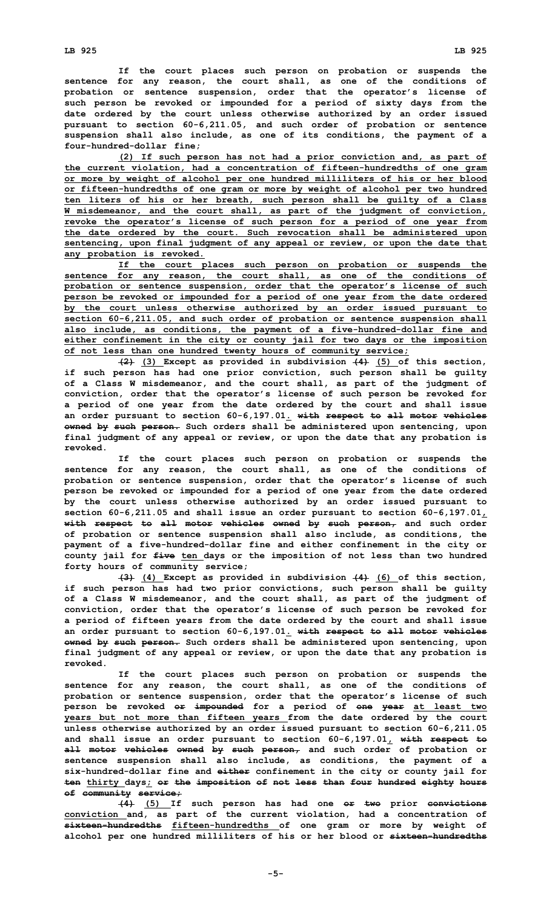**If the court places such person on probation or suspends the sentence for any reason, the court shall, as one of the conditions of probation or sentence suspension, order that the operator's license of such person be revoked or impounded for <sup>a</sup> period of sixty days from the date ordered by the court unless otherwise authorized by an order issued pursuant to section 60-6,211.05, and such order of probation or sentence suspension shall also include, as one of its conditions, the payment of <sup>a</sup> four-hundred-dollar fine;**

**(2) If such person has not had <sup>a</sup> prior conviction and, as part of the current violation, had <sup>a</sup> concentration of fifteen-hundredths of one gram or more by weight of alcohol per one hundred milliliters of his or her blood or fifteen-hundredths of one gram or more by weight of alcohol per two hundred ten liters of his or her breath, such person shall be guilty of <sup>a</sup> Class W misdemeanor, and the court shall, as part of the judgment of conviction, revoke the operator's license of such person for <sup>a</sup> period of one year from the date ordered by the court. Such revocation shall be administered upon sentencing, upon final judgment of any appeal or review, or upon the date that any probation is revoked.**

**If the court places such person on probation or suspends the sentence for any reason, the court shall, as one of the conditions of probation or sentence suspension, order that the operator's license of such person be revoked or impounded for <sup>a</sup> period of one year from the date ordered by the court unless otherwise authorized by an order issued pursuant to section 60-6,211.05, and such order of probation or sentence suspension shall also include, as conditions, the payment of <sup>a</sup> five-hundred-dollar fine and either confinement in the city or county jail for two days or the imposition of not less than one hundred twenty hours of community service;**

**(2) (3) Except as provided in subdivision (4) (5) of this section, if such person has had one prior conviction, such person shall be guilty of <sup>a</sup> Class W misdemeanor, and the court shall, as part of the judgment of conviction, order that the operator's license of such person be revoked for <sup>a</sup> period of one year from the date ordered by the court and shall issue an order pursuant to section 60-6,197.01. with respect to all motor vehicles owned by such person. Such orders shall be administered upon sentencing, upon final judgment of any appeal or review, or upon the date that any probation is revoked.**

**If the court places such person on probation or suspends the sentence for any reason, the court shall, as one of the conditions of probation or sentence suspension, order that the operator's license of such person be revoked or impounded for <sup>a</sup> period of one year from the date ordered by the court unless otherwise authorized by an order issued pursuant to section 60-6,211.05 and shall issue an order pursuant to section 60-6,197.01, with respect to all motor vehicles owned by such person, and such order of probation or sentence suspension shall also include, as conditions, the payment of <sup>a</sup> five-hundred-dollar fine and either confinement in the city or county jail for five ten days or the imposition of not less than two hundred forty hours of community service;**

**(3) (4) Except as provided in subdivision (4) (6) of this section, if such person has had two prior convictions, such person shall be guilty of <sup>a</sup> Class W misdemeanor, and the court shall, as part of the judgment of conviction, order that the operator's license of such person be revoked for <sup>a</sup> period of fifteen years from the date ordered by the court and shall issue an order pursuant to section 60-6,197.01. with respect to all motor vehicles owned by such person. Such orders shall be administered upon sentencing, upon final judgment of any appeal or review, or upon the date that any probation is revoked.**

**If the court places such person on probation or suspends the sentence for any reason, the court shall, as one of the conditions of probation or sentence suspension, order that the operator's license of such person be revoked or impounded for <sup>a</sup> period of one year at least two years but not more than fifteen years from the date ordered by the court unless otherwise authorized by an order issued pursuant to section 60-6,211.05 and shall issue an order pursuant to section 60-6,197.01, with respect to all motor vehicles owned by such person, and such order of probation or sentence suspension shall also include, as conditions, the payment of <sup>a</sup> six-hundred-dollar fine and either confinement in the city or county jail for ten thirty days; or the imposition of not less than four hundred eighty hours of community service;**

**(4) (5) If such person has had one or two prior convictions conviction and, as part of the current violation, had <sup>a</sup> concentration of sixteen-hundredths fifteen-hundredths of one gram or more by weight of alcohol per one hundred milliliters of his or her blood or sixteen-hundredths**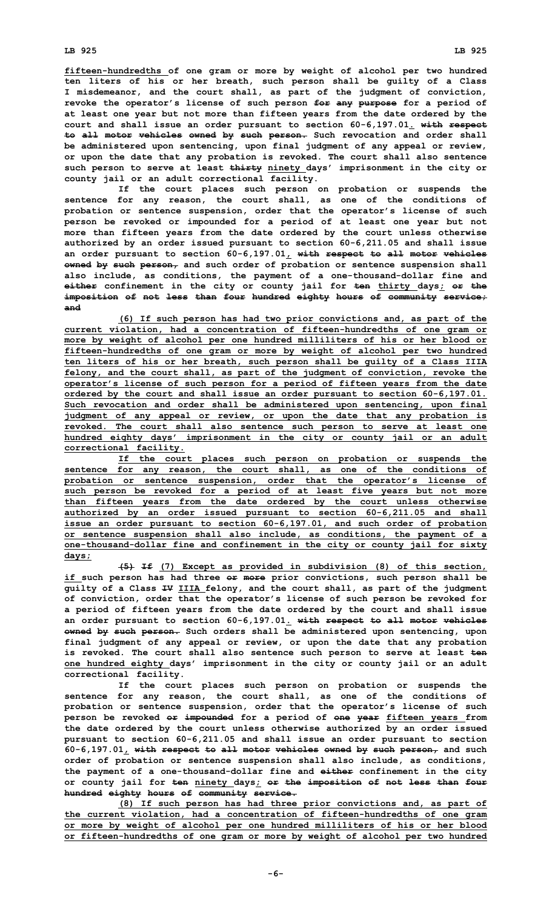**fifteen-hundredths of one gram or more by weight of alcohol per two hundred ten liters of his or her breath, such person shall be guilty of <sup>a</sup> Class I misdemeanor, and the court shall, as part of the judgment of conviction, revoke the operator's license of such person for any purpose for <sup>a</sup> period of at least one year but not more than fifteen years from the date ordered by the court and shall issue an order pursuant to section 60-6,197.01. with respect to all motor vehicles owned by such person. Such revocation and order shall be administered upon sentencing, upon final judgment of any appeal or review, or upon the date that any probation is revoked. The court shall also sentence such person to serve at least thirty ninety days' imprisonment in the city or county jail or an adult correctional facility.**

**If the court places such person on probation or suspends the sentence for any reason, the court shall, as one of the conditions of probation or sentence suspension, order that the operator's license of such person be revoked or impounded for <sup>a</sup> period of at least one year but not more than fifteen years from the date ordered by the court unless otherwise authorized by an order issued pursuant to section 60-6,211.05 and shall issue an order pursuant to section 60-6,197.01, with respect to all motor vehicles owned by such person, and such order of probation or sentence suspension shall also include, as conditions, the payment of <sup>a</sup> one-thousand-dollar fine and either confinement in the city or county jail for ten thirty days; or the imposition of not less than four hundred eighty hours of community service; and**

**(6) If such person has had two prior convictions and, as part of the current violation, had <sup>a</sup> concentration of fifteen-hundredths of one gram or more by weight of alcohol per one hundred milliliters of his or her blood or fifteen-hundredths of one gram or more by weight of alcohol per two hundred ten liters of his or her breath, such person shall be guilty of <sup>a</sup> Class IIIA felony, and the court shall, as part of the judgment of conviction, revoke the operator's license of such person for <sup>a</sup> period of fifteen years from the date ordered by the court and shall issue an order pursuant to section 60-6,197.01. Such revocation and order shall be administered upon sentencing, upon final judgment of any appeal or review, or upon the date that any probation is revoked. The court shall also sentence such person to serve at least one hundred eighty days' imprisonment in the city or county jail or an adult correctional facility.**

**If the court places such person on probation or suspends the sentence for any reason, the court shall, as one of the conditions of probation or sentence suspension, order that the operator's license of such person be revoked for <sup>a</sup> period of at least five years but not more than fifteen years from the date ordered by the court unless otherwise authorized by an order issued pursuant to section 60-6,211.05 and shall issue an order pursuant to section 60-6,197.01, and such order of probation or sentence suspension shall also include, as conditions, the payment of <sup>a</sup> one-thousand-dollar fine and confinement in the city or county jail for sixty days;**

**(5) If (7) Except as provided in subdivision (8) of this section, if such person has had three or more prior convictions, such person shall be guilty of <sup>a</sup> Class IV IIIA felony, and the court shall, as part of the judgment of conviction, order that the operator's license of such person be revoked for <sup>a</sup> period of fifteen years from the date ordered by the court and shall issue an order pursuant to section 60-6,197.01. with respect to all motor vehicles owned by such person. Such orders shall be administered upon sentencing, upon final judgment of any appeal or review, or upon the date that any probation is revoked. The court shall also sentence such person to serve at least ten one hundred eighty days' imprisonment in the city or county jail or an adult correctional facility.**

**If the court places such person on probation or suspends the sentence for any reason, the court shall, as one of the conditions of probation or sentence suspension, order that the operator's license of such person be revoked or impounded for <sup>a</sup> period of one year fifteen years from the date ordered by the court unless otherwise authorized by an order issued pursuant to section 60-6,211.05 and shall issue an order pursuant to section 60-6,197.01, with respect to all motor vehicles owned by such person, and such order of probation or sentence suspension shall also include, as conditions, the payment of <sup>a</sup> one-thousand-dollar fine and either confinement in the city or county jail for ten ninety days; or the imposition of not less than four hundred eighty hours of community service.**

**(8) If such person has had three prior convictions and, as part of the current violation, had <sup>a</sup> concentration of fifteen-hundredths of one gram or more by weight of alcohol per one hundred milliliters of his or her blood or fifteen-hundredths of one gram or more by weight of alcohol per two hundred**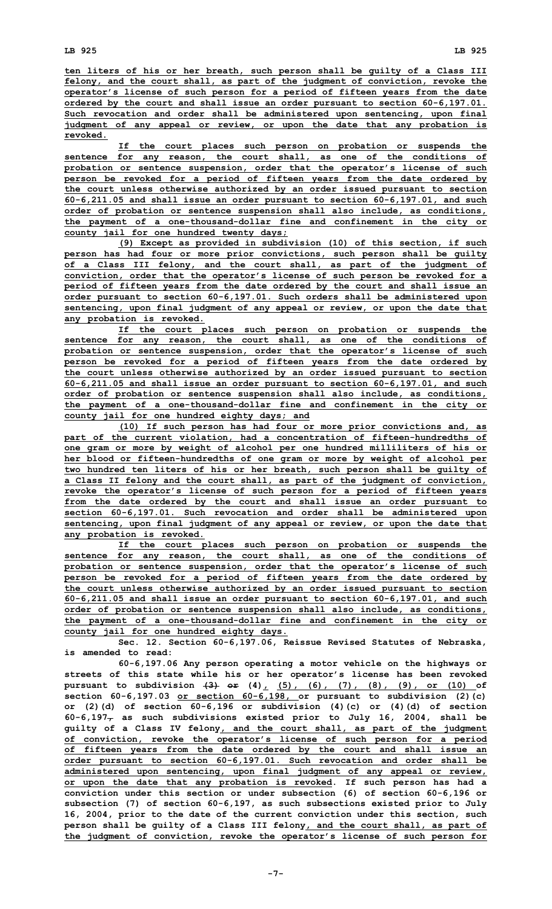**ten liters of his or her breath, such person shall be guilty of <sup>a</sup> Class III felony, and the court shall, as part of the judgment of conviction, revoke the operator's license of such person for <sup>a</sup> period of fifteen years from the date ordered by the court and shall issue an order pursuant to section 60-6,197.01. Such revocation and order shall be administered upon sentencing, upon final judgment of any appeal or review, or upon the date that any probation is revoked.**

**If the court places such person on probation or suspends the sentence for any reason, the court shall, as one of the conditions of probation or sentence suspension, order that the operator's license of such person be revoked for <sup>a</sup> period of fifteen years from the date ordered by the court unless otherwise authorized by an order issued pursuant to section 60-6,211.05 and shall issue an order pursuant to section 60-6,197.01, and such order of probation or sentence suspension shall also include, as conditions, the payment of <sup>a</sup> one-thousand-dollar fine and confinement in the city or county jail for one hundred twenty days;**

**(9) Except as provided in subdivision (10) of this section, if such person has had four or more prior convictions, such person shall be guilty of <sup>a</sup> Class III felony, and the court shall, as part of the judgment of conviction, order that the operator's license of such person be revoked for <sup>a</sup> period of fifteen years from the date ordered by the court and shall issue an order pursuant to section 60-6,197.01. Such orders shall be administered upon sentencing, upon final judgment of any appeal or review, or upon the date that any probation is revoked.**

**If the court places such person on probation or suspends the sentence for any reason, the court shall, as one of the conditions of probation or sentence suspension, order that the operator's license of such person be revoked for <sup>a</sup> period of fifteen years from the date ordered by the court unless otherwise authorized by an order issued pursuant to section 60-6,211.05 and shall issue an order pursuant to section 60-6,197.01, and such order of probation or sentence suspension shall also include, as conditions, the payment of <sup>a</sup> one-thousand-dollar fine and confinement in the city or county jail for one hundred eighty days; and**

**(10) If such person has had four or more prior convictions and, as part of the current violation, had <sup>a</sup> concentration of fifteen-hundredths of one gram or more by weight of alcohol per one hundred milliliters of his or her blood or fifteen-hundredths of one gram or more by weight of alcohol per two hundred ten liters of his or her breath, such person shall be guilty of <sup>a</sup> Class II felony and the court shall, as part of the judgment of conviction, revoke the operator's license of such person for <sup>a</sup> period of fifteen years from the date ordered by the court and shall issue an order pursuant to section 60-6,197.01. Such revocation and order shall be administered upon sentencing, upon final judgment of any appeal or review, or upon the date that any probation is revoked.**

**If the court places such person on probation or suspends the sentence for any reason, the court shall, as one of the conditions of probation or sentence suspension, order that the operator's license of such person be revoked for <sup>a</sup> period of fifteen years from the date ordered by the court unless otherwise authorized by an order issued pursuant to section 60-6,211.05 and shall issue an order pursuant to section 60-6,197.01, and such order of probation or sentence suspension shall also include, as conditions, the payment of <sup>a</sup> one-thousand-dollar fine and confinement in the city or county jail for one hundred eighty days.**

**Sec. 12. Section 60-6,197.06, Reissue Revised Statutes of Nebraska, is amended to read:**

**60-6,197.06 Any person operating <sup>a</sup> motor vehicle on the highways or streets of this state while his or her operator's license has been revoked pursuant to subdivision (3) or (4), (5), (6), (7), (8), (9), or (10) of section 60-6,197.03 or section 60-6,198, or pursuant to subdivision (2)(c) or (2)(d) of section 60-6,196 or subdivision (4)(c) or (4)(d) of section 60-6,197, as such subdivisions existed prior to July 16, 2004, shall be guilty of <sup>a</sup> Class IV felony, and the court shall, as part of the judgment of conviction, revoke the operator's license of such person for <sup>a</sup> period of fifteen years from the date ordered by the court and shall issue an order pursuant to section 60-6,197.01. Such revocation and order shall be administered upon sentencing, upon final judgment of any appeal or review, or upon the date that any probation is revoked. If such person has had <sup>a</sup> conviction under this section or under subsection (6) of section 60-6,196 or subsection (7) of section 60-6,197, as such subsections existed prior to July 16, 2004, prior to the date of the current conviction under this section, such person shall be guilty of <sup>a</sup> Class III felony, and the court shall, as part of the judgment of conviction, revoke the operator's license of such person for**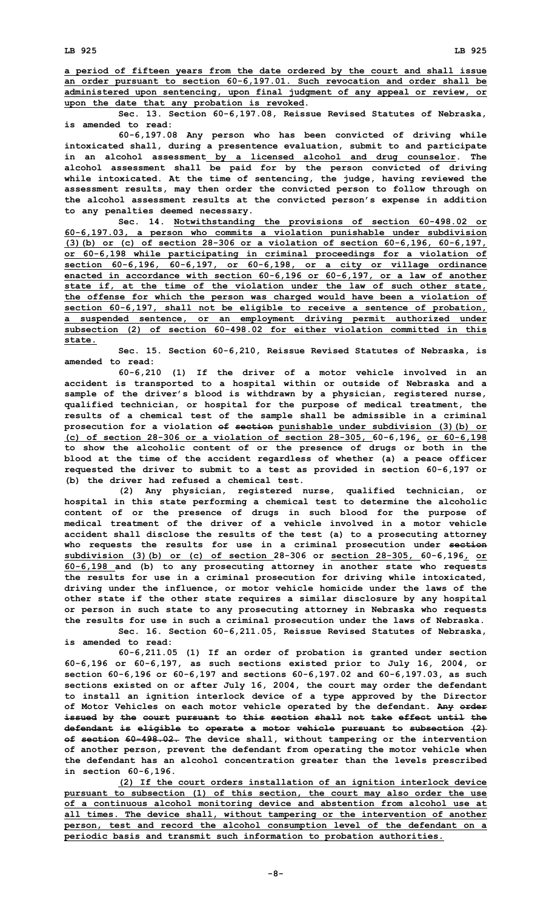**Sec. 13. Section 60-6,197.08, Reissue Revised Statutes of Nebraska, is amended to read:**

**60-6,197.08 Any person who has been convicted of driving while intoxicated shall, during <sup>a</sup> presentence evaluation, submit to and participate in an alcohol assessment by <sup>a</sup> licensed alcohol and drug counselor. The alcohol assessment shall be paid for by the person convicted of driving while intoxicated. At the time of sentencing, the judge, having reviewed the assessment results, may then order the convicted person to follow through on the alcohol assessment results at the convicted person's expense in addition to any penalties deemed necessary.**

**Sec. 14. Notwithstanding the provisions of section 60-498.02 or 60-6,197.03, <sup>a</sup> person who commits <sup>a</sup> violation punishable under subdivision (3)(b) or (c) of section 28-306 or <sup>a</sup> violation of section 60-6,196, 60-6,197, or 60-6,198 while participating in criminal proceedings for <sup>a</sup> violation of section 60-6,196, 60-6,197, or 60-6,198, or <sup>a</sup> city or village ordinance enacted in accordance with section 60-6,196 or 60-6,197, or <sup>a</sup> law of another state if, at the time of the violation under the law of such other state, the offense for which the person was charged would have been <sup>a</sup> violation of section 60-6,197, shall not be eligible to receive <sup>a</sup> sentence of probation, <sup>a</sup> suspended sentence, or an employment driving permit authorized under subsection (2) of section 60-498.02 for either violation committed in this state.**

**Sec. 15. Section 60-6,210, Reissue Revised Statutes of Nebraska, is amended to read:**

**60-6,210 (1) If the driver of <sup>a</sup> motor vehicle involved in an accident is transported to <sup>a</sup> hospital within or outside of Nebraska and <sup>a</sup> sample of the driver's blood is withdrawn by <sup>a</sup> physician, registered nurse, qualified technician, or hospital for the purpose of medical treatment, the results of <sup>a</sup> chemical test of the sample shall be admissible in <sup>a</sup> criminal prosecution for <sup>a</sup> violation of section punishable under subdivision (3)(b) or (c) of section 28-306 or <sup>a</sup> violation of section 28-305, 60-6,196, or 60-6,198 to show the alcoholic content of or the presence of drugs or both in the blood at the time of the accident regardless of whether (a) <sup>a</sup> peace officer requested the driver to submit to <sup>a</sup> test as provided in section 60-6,197 or (b) the driver had refused <sup>a</sup> chemical test.**

**(2) Any physician, registered nurse, qualified technician, or hospital in this state performing <sup>a</sup> chemical test to determine the alcoholic content of or the presence of drugs in such blood for the purpose of medical treatment of the driver of a vehicle involved in a motor vehicle accident shall disclose the results of the test (a) to <sup>a</sup> prosecuting attorney who requests the results for use in <sup>a</sup> criminal prosecution under section subdivision (3)(b) or (c) of section 28-306 or section 28-305, 60-6,196, or 60-6,198 and (b) to any prosecuting attorney in another state who requests the results for use in <sup>a</sup> criminal prosecution for driving while intoxicated, driving under the influence, or motor vehicle homicide under the laws of the other state if the other state requires <sup>a</sup> similar disclosure by any hospital or person in such state to any prosecuting attorney in Nebraska who requests the results for use in such <sup>a</sup> criminal prosecution under the laws of Nebraska.**

**Sec. 16. Section 60-6,211.05, Reissue Revised Statutes of Nebraska, is amended to read:**

**60-6,211.05 (1) If an order of probation is granted under section 60-6,196 or 60-6,197, as such sections existed prior to July 16, 2004, or section 60-6,196 or 60-6,197 and sections 60-6,197.02 and 60-6,197.03, as such sections existed on or after July 16, 2004, the court may order the defendant to install an ignition interlock device of <sup>a</sup> type approved by the Director of Motor Vehicles on each motor vehicle operated by the defendant. Any order issued by the court pursuant to this section shall not take effect until the defendant is eligible to operate <sup>a</sup> motor vehicle pursuant to subsection (2) of section 60-498.02. The device shall, without tampering or the intervention of another person, prevent the defendant from operating the motor vehicle when the defendant has an alcohol concentration greater than the levels prescribed in section 60-6,196.**

**(2) If the court orders installation of an ignition interlock device pursuant to subsection (1) of this section, the court may also order the use of <sup>a</sup> continuous alcohol monitoring device and abstention from alcohol use at all times. The device shall, without tampering or the intervention of another person, test and record the alcohol consumption level of the defendant on <sup>a</sup> periodic basis and transmit such information to probation authorities.**